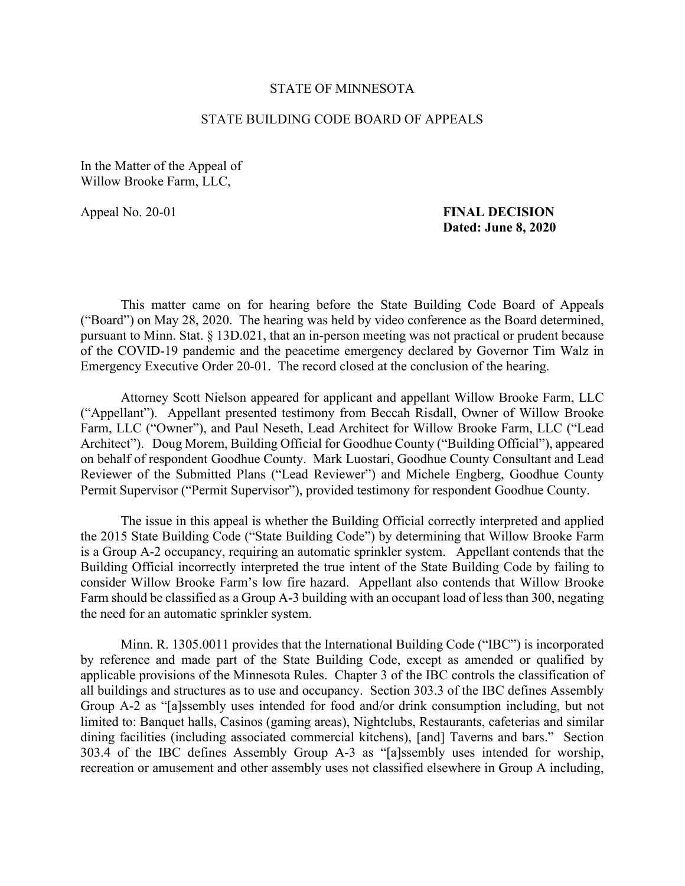## STATE OF MINNESOTA

## STATE BUILDING CODE BOARD OF APPEALS

In the Matter of the Appeal of Willow Brooke Farm, LLC,

## Appeal No. 20-01 **FINAL DECISION Dated: June 8, 2020**

This matter came on for hearing before the State Building Code Board of Appeals ("Board") on May 28, 2020. The hearing was held by video conference as the Board determined, pursuant to Minn. Stat. § 13D.021, that an in-person meeting was not practical or prudent because of the COVID-19 pandemic and the peacetime emergency declared by Governor Tim Walz in Emergency Executive Order 20-01. The record closed at the conclusion of the hearing.

Attorney Scott Nielson appeared for applicant and appellant Willow Brooke Farm, LLC ("Appellant"). Appellant presented testimony from Beccah Risdall, Owner of Willow Brooke Farm, LLC ("Owner"), and Paul Neseth, Lead Architect for Willow Brooke Farm, LLC ("Lead Architect"). Doug Morem, Building Official for Goodhue County ("Building Official"), appeared on behalf of respondent Goodhue County. Mark Luostari, Goodhue County Consultant and Lead Reviewer of the Submitted Plans ("Lead Reviewer") and Michele Engberg, Goodhue County Permit Supervisor ("Permit Supervisor"), provided testimony for respondent Goodhue County.

The issue in this appeal is whether the Building Official correctly interpreted and applied the 2015 State Building Code ("State Building Code") by determining that Willow Brooke Farm is a Group A-2 occupancy, requiring an automatic sprinkler system. Appellant contends that the Building Official incorrectly interpreted the true intent of the State Building Code by failing to consider Willow Brooke Farm's low fire hazard. Appellant also contends that Willow Brooke Farm should be classified as a Group A-3 building with an occupant load of less than 300, negating the need for an automatic sprinkler system.

Minn. R. 1305.0011 provides that the International Building Code ("IBC") is incorporated by reference and made part of the State Building Code, except as amended or qualified by applicable provisions of the Minnesota Rules. Chapter 3 of the IBC controls the classification of all buildings and structures as to use and occupancy. Section 303.3 of the IBC defines Assembly Group A-2 as "[a]ssembly uses intended for food and/or drink consumption including, but not limited to: Banquet halls, Casinos (gaming areas), Nightclubs, Restaurants, cafeterias and similar dining facilities (including associated commercial kitchens), [and] Taverns and bars." Section 303.4 of the IBC defines Assembly Group A-3 as "[a]ssembly uses intended for worship, recreation or amusement and other assembly uses not classified elsewhere in Group A including,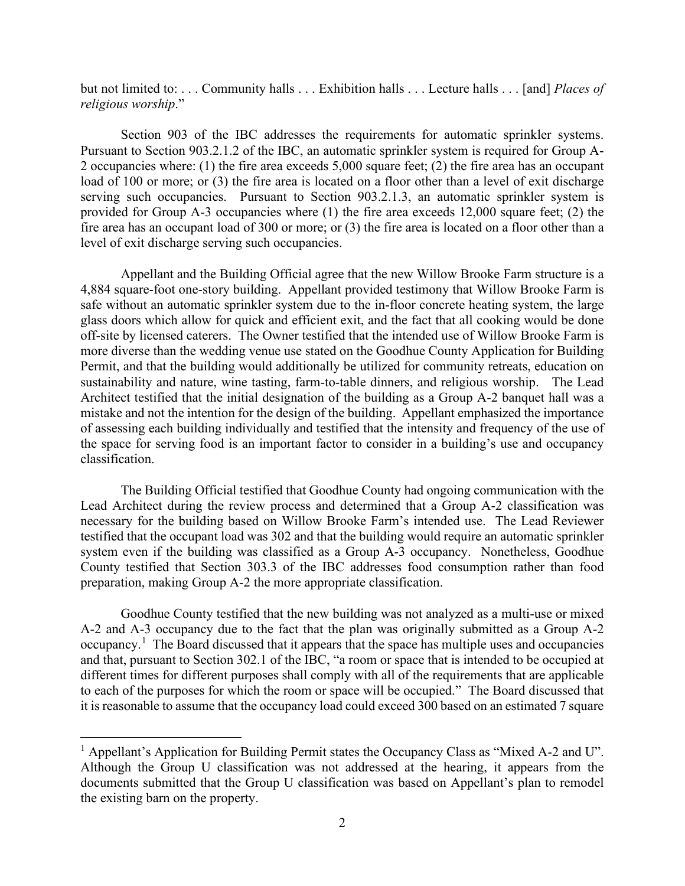but not limited to: . . . Community halls . . . Exhibition halls . . . Lecture halls . . . [and] *Places of religious worship*."

Section 903 of the IBC addresses the requirements for automatic sprinkler systems. Pursuant to Section 903.2.1.2 of the IBC, an automatic sprinkler system is required for Group A-2 occupancies where: (1) the fire area exceeds 5,000 square feet; (2) the fire area has an occupant load of 100 or more; or (3) the fire area is located on a floor other than a level of exit discharge serving such occupancies. Pursuant to Section 903.2.1.3, an automatic sprinkler system is provided for Group A-3 occupancies where (1) the fire area exceeds 12,000 square feet; (2) the fire area has an occupant load of 300 or more; or (3) the fire area is located on a floor other than a level of exit discharge serving such occupancies.

Appellant and the Building Official agree that the new Willow Brooke Farm structure is a 4,884 square-foot one-story building. Appellant provided testimony that Willow Brooke Farm is safe without an automatic sprinkler system due to the in-floor concrete heating system, the large glass doors which allow for quick and efficient exit, and the fact that all cooking would be done off-site by licensed caterers. The Owner testified that the intended use of Willow Brooke Farm is more diverse than the wedding venue use stated on the Goodhue County Application for Building Permit, and that the building would additionally be utilized for community retreats, education on sustainability and nature, wine tasting, farm-to-table dinners, and religious worship. The Lead Architect testified that the initial designation of the building as a Group A-2 banquet hall was a mistake and not the intention for the design of the building. Appellant emphasized the importance of assessing each building individually and testified that the intensity and frequency of the use of the space for serving food is an important factor to consider in a building's use and occupancy classification.

The Building Official testified that Goodhue County had ongoing communication with the Lead Architect during the review process and determined that a Group A-2 classification was necessary for the building based on Willow Brooke Farm's intended use. The Lead Reviewer testified that the occupant load was 302 and that the building would require an automatic sprinkler system even if the building was classified as a Group A-3 occupancy. Nonetheless, Goodhue County testified that Section 303.3 of the IBC addresses food consumption rather than food preparation, making Group A-2 the more appropriate classification.

Goodhue County testified that the new building was not analyzed as a multi-use or mixed A-2 and A-3 occupancy due to the fact that the plan was originally submitted as a Group A-2 occupancy.<sup>[1](#page-1-0)</sup> The Board discussed that it appears that the space has multiple uses and occupancies and that, pursuant to Section 302.1 of the IBC, "a room or space that is intended to be occupied at different times for different purposes shall comply with all of the requirements that are applicable to each of the purposes for which the room or space will be occupied." The Board discussed that it is reasonable to assume that the occupancy load could exceed 300 based on an estimated 7 square

<span id="page-1-0"></span><sup>&</sup>lt;sup>1</sup> Appellant's Application for Building Permit states the Occupancy Class as "Mixed A-2 and U". Although the Group U classification was not addressed at the hearing, it appears from the documents submitted that the Group U classification was based on Appellant's plan to remodel the existing barn on the property.